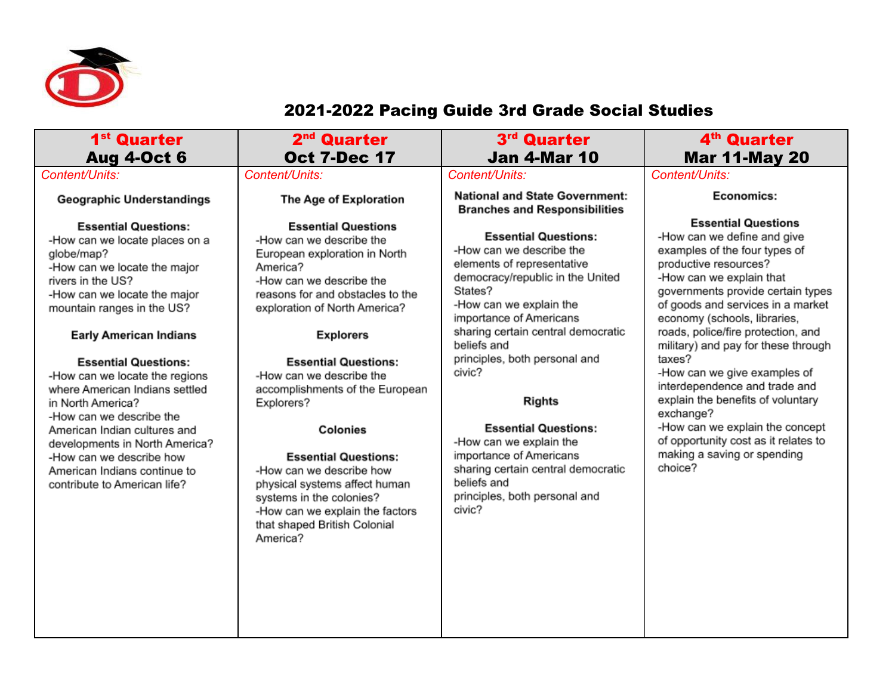

## 2021-2022 Pacing Guide 3rd Grade Social Studies

| 1 <sup>st</sup> Quarter<br><b>Aug 4-Oct 6</b>                                                                                                                                                                                                                                                                                                                                                                                                                                                                                                     | 2 <sup>nd</sup> Quarter<br><b>Oct 7-Dec 17</b>                                                                                                                                                                                                                                                                                                                                                                                                                                                                                                          | 3 <sup>rd</sup> Quarter<br><b>Jan 4-Mar 10</b>                                                                                                                                                                                                                                                                                                                                                                                                                                                   | 4 <sup>th</sup> Quarter<br><b>Mar 11-May 20</b>                                                                                                                                                                                                                                                                                                                                                                                                                                                                                                                                          |
|---------------------------------------------------------------------------------------------------------------------------------------------------------------------------------------------------------------------------------------------------------------------------------------------------------------------------------------------------------------------------------------------------------------------------------------------------------------------------------------------------------------------------------------------------|---------------------------------------------------------------------------------------------------------------------------------------------------------------------------------------------------------------------------------------------------------------------------------------------------------------------------------------------------------------------------------------------------------------------------------------------------------------------------------------------------------------------------------------------------------|--------------------------------------------------------------------------------------------------------------------------------------------------------------------------------------------------------------------------------------------------------------------------------------------------------------------------------------------------------------------------------------------------------------------------------------------------------------------------------------------------|------------------------------------------------------------------------------------------------------------------------------------------------------------------------------------------------------------------------------------------------------------------------------------------------------------------------------------------------------------------------------------------------------------------------------------------------------------------------------------------------------------------------------------------------------------------------------------------|
| Content/Units:                                                                                                                                                                                                                                                                                                                                                                                                                                                                                                                                    | Content/Units:                                                                                                                                                                                                                                                                                                                                                                                                                                                                                                                                          | Content/Units:                                                                                                                                                                                                                                                                                                                                                                                                                                                                                   | Content/Units:                                                                                                                                                                                                                                                                                                                                                                                                                                                                                                                                                                           |
| <b>Geographic Understandings</b>                                                                                                                                                                                                                                                                                                                                                                                                                                                                                                                  | The Age of Exploration                                                                                                                                                                                                                                                                                                                                                                                                                                                                                                                                  | <b>National and State Government:</b><br><b>Branches and Responsibilities</b>                                                                                                                                                                                                                                                                                                                                                                                                                    | Economics:                                                                                                                                                                                                                                                                                                                                                                                                                                                                                                                                                                               |
| <b>Essential Questions:</b><br>-How can we locate places on a<br>globe/map?<br>-How can we locate the major<br>rivers in the US?<br>-How can we locate the major<br>mountain ranges in the US?<br><b>Early American Indians</b><br><b>Essential Questions:</b><br>-How can we locate the regions<br>where American Indians settled<br>in North America?<br>-How can we describe the<br>American Indian cultures and<br>developments in North America?<br>-How can we describe how<br>American Indians continue to<br>contribute to American life? | <b>Essential Questions</b><br>-How can we describe the<br>European exploration in North<br>America?<br>-How can we describe the<br>reasons for and obstacles to the<br>exploration of North America?<br><b>Explorers</b><br><b>Essential Questions:</b><br>-How can we describe the<br>accomplishments of the European<br>Explorers?<br>Colonies<br><b>Essential Questions:</b><br>-How can we describe how<br>physical systems affect human<br>systems in the colonies?<br>-How can we explain the factors<br>that shaped British Colonial<br>America? | <b>Essential Questions:</b><br>-How can we describe the<br>elements of representative<br>democracy/republic in the United<br>States?<br>-How can we explain the<br>importance of Americans<br>sharing certain central democratic<br>beliefs and<br>principles, both personal and<br>civic?<br><b>Rights</b><br><b>Essential Questions:</b><br>-How can we explain the<br>importance of Americans<br>sharing certain central democratic<br>beliefs and<br>principles, both personal and<br>civic? | <b>Essential Questions</b><br>-How can we define and give<br>examples of the four types of<br>productive resources?<br>-How can we explain that<br>governments provide certain types<br>of goods and services in a market<br>economy (schools, libraries,<br>roads, police/fire protection, and<br>military) and pay for these through<br>taxes?<br>-How can we give examples of<br>interdependence and trade and<br>explain the benefits of voluntary<br>exchange?<br>-How can we explain the concept<br>of opportunity cost as it relates to<br>making a saving or spending<br>choice? |